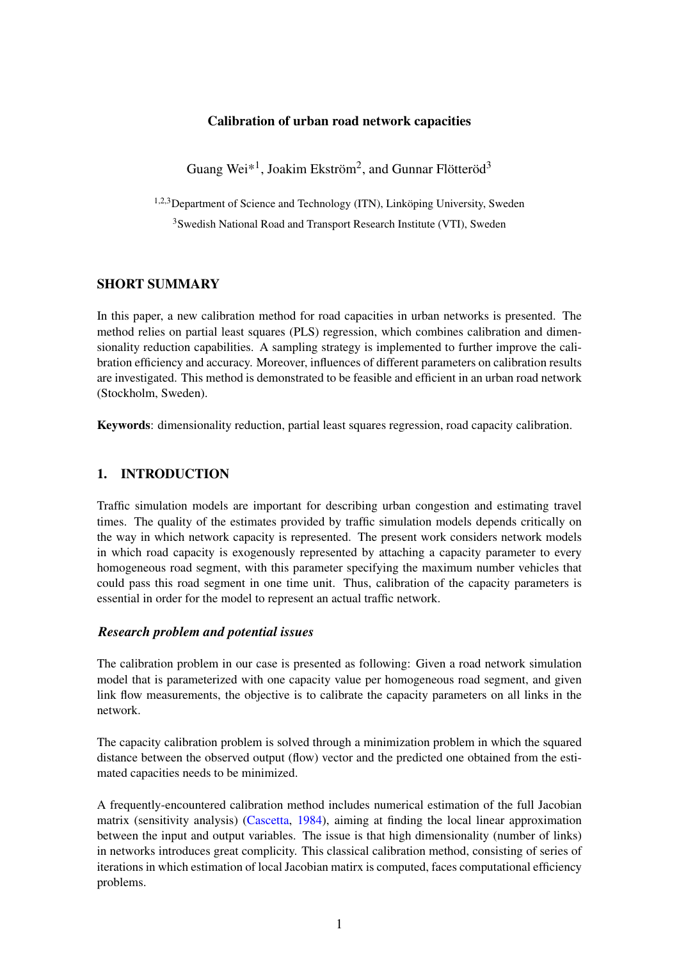## Calibration of urban road network capacities

Guang Wei<sup>\*1</sup>, Joakim Ekström<sup>2</sup>, and Gunnar Flötteröd<sup>3</sup>

1,2,3Department of Science and Technology (ITN), Linköping University, Sweden

<sup>3</sup>Swedish National Road and Transport Research Institute (VTI), Sweden

## SHORT SUMMARY

In this paper, a new calibration method for road capacities in urban networks is presented. The method relies on partial least squares (PLS) regression, which combines calibration and dimensionality reduction capabilities. A sampling strategy is implemented to further improve the calibration efficiency and accuracy. Moreover, influences of different parameters on calibration results are investigated. This method is demonstrated to be feasible and efficient in an urban road network (Stockholm, Sweden).

Keywords: dimensionality reduction, partial least squares regression, road capacity calibration.

## 1. INTRODUCTION

Traffic simulation models are important for describing urban congestion and estimating travel times. The quality of the estimates provided by traffic simulation models depends critically on the way in which network capacity is represented. The present work considers network models in which road capacity is exogenously represented by attaching a capacity parameter to every homogeneous road segment, with this parameter specifying the maximum number vehicles that could pass this road segment in one time unit. Thus, calibration of the capacity parameters is essential in order for the model to represent an actual traffic network.

## *Research problem and potential issues*

The calibration problem in our case is presented as following: Given a road network simulation model that is parameterized with one capacity value per homogeneous road segment, and given link flow measurements, the objective is to calibrate the capacity parameters on all links in the network.

The capacity calibration problem is solved through a minimization problem in which the squared distance between the observed output (flow) vector and the predicted one obtained from the estimated capacities needs to be minimized.

A frequently-encountered calibration method includes numerical estimation of the full Jacobian matrix (sensitivity analysis) [\(Cascetta,](#page-10-0) [1984\)](#page-10-0), aiming at finding the local linear approximation between the input and output variables. The issue is that high dimensionality (number of links) in networks introduces great complicity. This classical calibration method, consisting of series of iterations in which estimation of local Jacobian matirx is computed, faces computational efficiency problems.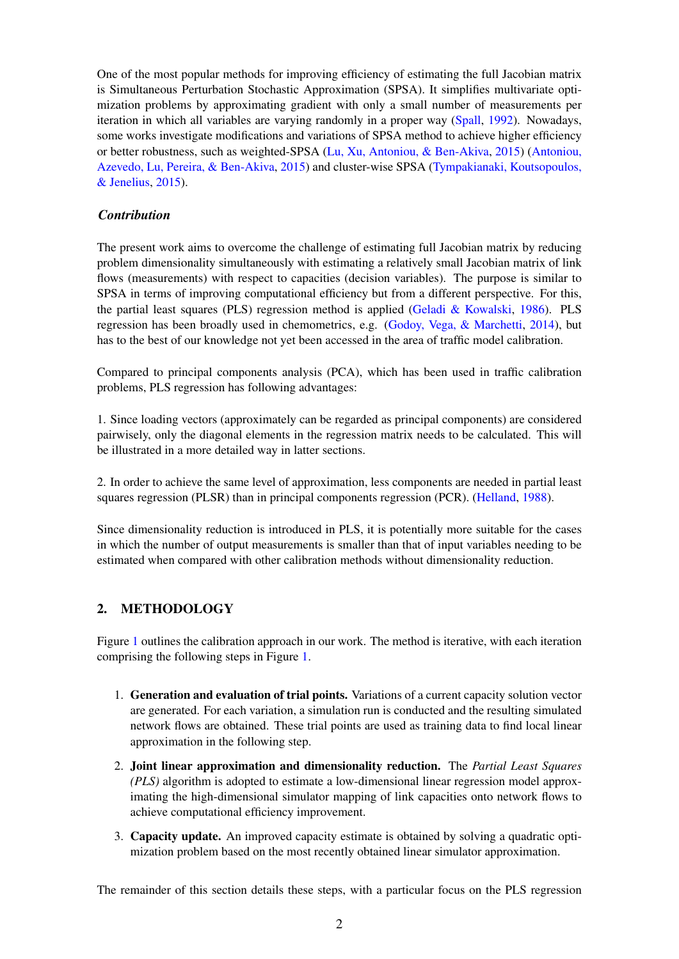One of the most popular methods for improving efficiency of estimating the full Jacobian matrix is Simultaneous Perturbation Stochastic Approximation (SPSA). It simplifies multivariate optimization problems by approximating gradient with only a small number of measurements per iteration in which all variables are varying randomly in a proper way [\(Spall,](#page-11-0) [1992\)](#page-11-0). Nowadays, some works investigate modifications and variations of SPSA method to achieve higher efficiency or better robustness, such as weighted-SPSA [\(Lu, Xu, Antoniou, & Ben-Akiva,](#page-11-1) [2015\)](#page-11-1) [\(Antoniou,](#page-10-1) [Azevedo, Lu, Pereira, & Ben-Akiva,](#page-10-1) [2015\)](#page-10-1) and cluster-wise SPSA [\(Tympakianaki, Koutsopoulos,](#page-11-2) [& Jenelius,](#page-11-2) [2015\)](#page-11-2).

## *Contribution*

The present work aims to overcome the challenge of estimating full Jacobian matrix by reducing problem dimensionality simultaneously with estimating a relatively small Jacobian matrix of link flows (measurements) with respect to capacities (decision variables). The purpose is similar to SPSA in terms of improving computational efficiency but from a different perspective. For this, the partial least squares (PLS) regression method is applied [\(Geladi & Kowalski,](#page-11-3) [1986\)](#page-11-3). PLS regression has been broadly used in chemometrics, e.g. [\(Godoy, Vega, & Marchetti,](#page-11-4) [2014\)](#page-11-4), but has to the best of our knowledge not yet been accessed in the area of traffic model calibration.

Compared to principal components analysis (PCA), which has been used in traffic calibration problems, PLS regression has following advantages:

1. Since loading vectors (approximately can be regarded as principal components) are considered pairwisely, only the diagonal elements in the regression matrix needs to be calculated. This will be illustrated in a more detailed way in latter sections.

2. In order to achieve the same level of approximation, less components are needed in partial least squares regression (PLSR) than in principal components regression (PCR). [\(Helland,](#page-11-5) [1988\)](#page-11-5).

Since dimensionality reduction is introduced in PLS, it is potentially more suitable for the cases in which the number of output measurements is smaller than that of input variables needing to be estimated when compared with other calibration methods without dimensionality reduction.

# 2. METHODOLOGY

Figure [1](#page-2-0) outlines the calibration approach in our work. The method is iterative, with each iteration comprising the following steps in Figure [1.](#page-2-0)

- 1. Generation and evaluation of trial points. Variations of a current capacity solution vector are generated. For each variation, a simulation run is conducted and the resulting simulated network flows are obtained. These trial points are used as training data to find local linear approximation in the following step.
- 2. Joint linear approximation and dimensionality reduction. The *Partial Least Squares (PLS)* algorithm is adopted to estimate a low-dimensional linear regression model approximating the high-dimensional simulator mapping of link capacities onto network flows to achieve computational efficiency improvement.
- 3. Capacity update. An improved capacity estimate is obtained by solving a quadratic optimization problem based on the most recently obtained linear simulator approximation.

The remainder of this section details these steps, with a particular focus on the PLS regression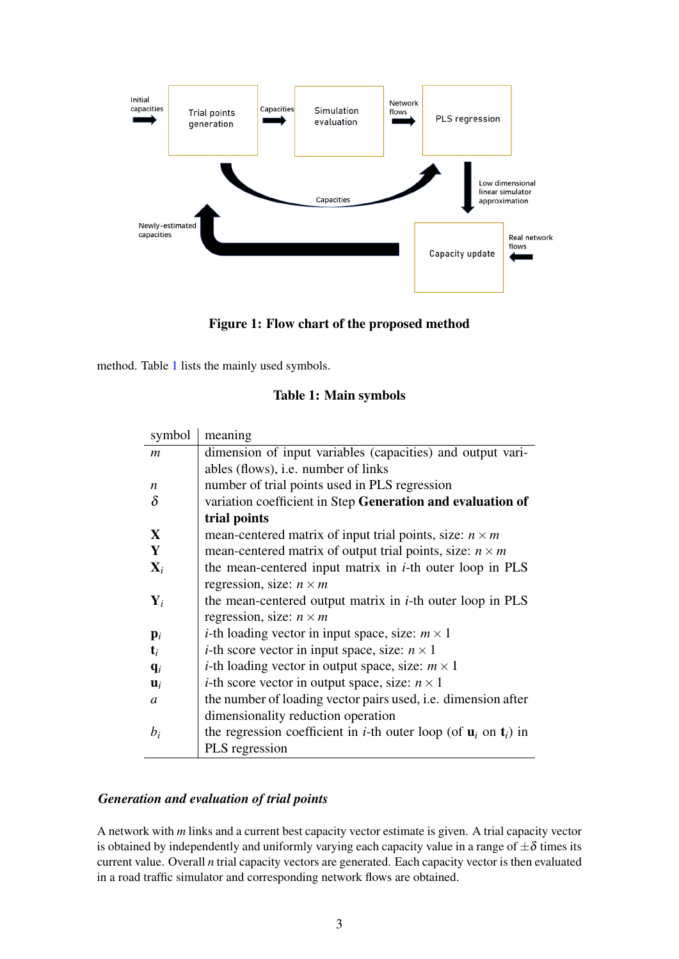<span id="page-2-0"></span>

Figure 1: Flow chart of the proposed method

<span id="page-2-1"></span>method. Table [1](#page-2-1) lists the mainly used symbols.

# Table 1: Main symbols

| symbol           | meaning                                                                                         |
|------------------|-------------------------------------------------------------------------------------------------|
| $\boldsymbol{m}$ | dimension of input variables (capacities) and output vari-                                      |
|                  | ables (flows), <i>i.e.</i> number of links                                                      |
| n                | number of trial points used in PLS regression                                                   |
| $\delta$         | variation coefficient in Step Generation and evaluation of                                      |
|                  | trial points                                                                                    |
| $\mathbf X$      | mean-centered matrix of input trial points, size: $n \times m$                                  |
| Y                | mean-centered matrix of output trial points, size: $n \times m$                                 |
| $\mathbf{X}_i$   | the mean-centered input matrix in <i>i</i> -th outer loop in PLS                                |
|                  | regression, size: $n \times m$                                                                  |
| $\mathbf{Y}_i$   | the mean-centered output matrix in $i$ -th outer loop in PLS                                    |
|                  | regression, size: $n \times m$                                                                  |
| $\mathbf{p}_i$   | <i>i</i> -th loading vector in input space, size: $m \times 1$                                  |
| $\mathbf{t}_i$   | <i>i</i> -th score vector in input space, size: $n \times 1$                                    |
| $q_i$            | <i>i</i> -th loading vector in output space, size: $m \times 1$                                 |
| $\mathbf{u}_i$   | <i>i</i> -th score vector in output space, size: $n \times 1$                                   |
| a                | the number of loading vector pairs used, <i>i.e.</i> dimension after                            |
|                  | dimensionality reduction operation                                                              |
| $b_i$            | the regression coefficient in <i>i</i> -th outer loop (of $\mathbf{u}_i$ on $\mathbf{t}_i$ ) in |
|                  | PLS regression                                                                                  |

# *Generation and evaluation of trial points*

A network with *m* links and a current best capacity vector estimate is given. A trial capacity vector is obtained by independently and uniformly varying each capacity value in a range of  $\pm \delta$  times its current value. Overall *n* trial capacity vectors are generated. Each capacity vector is then evaluated in a road traffic simulator and corresponding network flows are obtained.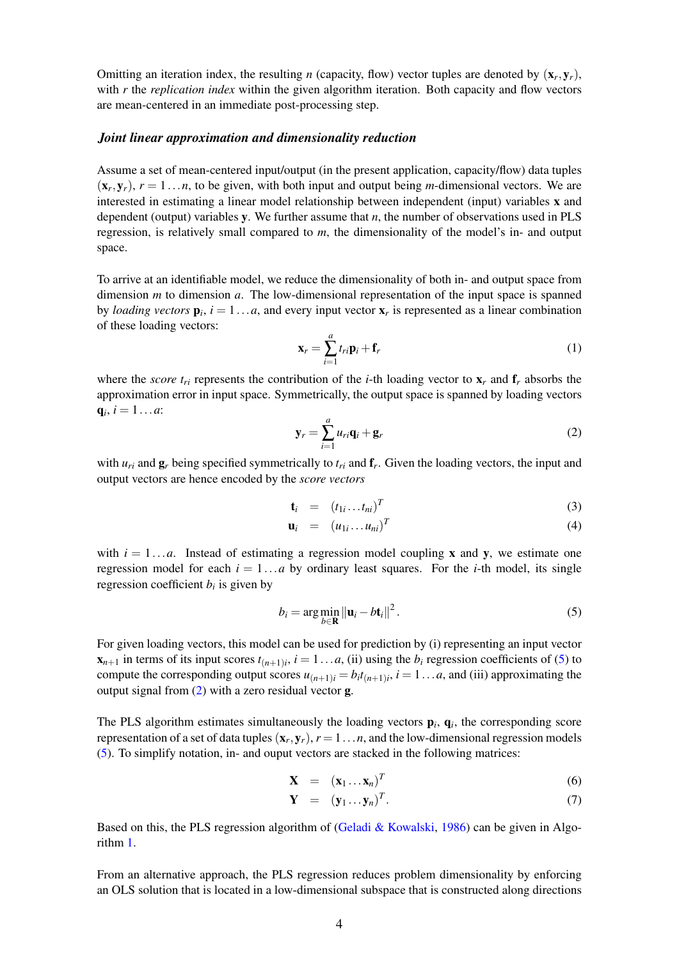Omitting an iteration index, the resulting *n* (capacity, flow) vector tuples are denoted by  $(\mathbf{x}_r, \mathbf{y}_r)$ , with *r* the *replication index* within the given algorithm iteration. Both capacity and flow vectors are mean-centered in an immediate post-processing step.

#### *Joint linear approximation and dimensionality reduction*

Assume a set of mean-centered input/output (in the present application, capacity/flow) data tuples  $(\mathbf{x}_r, \mathbf{y}_r)$ ,  $r = 1...n$ , to be given, with both input and output being *m*-dimensional vectors. We are interested in estimating a linear model relationship between independent (input) variables x and dependent (output) variables y. We further assume that *n*, the number of observations used in PLS regression, is relatively small compared to *m*, the dimensionality of the model's in- and output space.

To arrive at an identifiable model, we reduce the dimensionality of both in- and output space from dimension *m* to dimension *a*. The low-dimensional representation of the input space is spanned by *loading vectors*  $\mathbf{p}_i$ ,  $i = 1...a$ , and every input vector  $\mathbf{x}_r$  is represented as a linear combination of these loading vectors:

$$
\mathbf{x}_r = \sum_{i=1}^a t_{ri} \mathbf{p}_i + \mathbf{f}_r
$$
 (1)

where the *score*  $t_{ri}$  represents the contribution of the *i*-th loading vector to  $\mathbf{x}_r$  and  $\mathbf{f}_r$  absorbs the approximation error in input space. Symmetrically, the output space is spanned by loading vectors  $q_i, i = 1...a$ 

<span id="page-3-1"></span>
$$
\mathbf{y}_r = \sum_{i=1}^a u_{ri} \mathbf{q}_i + \mathbf{g}_r \tag{2}
$$

with  $u_{ri}$  and  $g_r$  being specified symmetrically to  $t_{ri}$  and  $f_r$ . Given the loading vectors, the input and output vectors are hence encoded by the *score vectors*

$$
\mathbf{t}_i = (t_{1i} \dots t_{ni})^T \tag{3}
$$

$$
\mathbf{u}_i = (u_{1i} \dots u_{ni})^T \tag{4}
$$

with  $i = 1...a$ . Instead of estimating a regression model coupling **x** and **y**, we estimate one regression model for each  $i = 1...a$  by ordinary least squares. For the *i*-th model, its single regression coefficient  $b_i$  is given by

<span id="page-3-0"></span>
$$
b_i = \arg\min_{b \in \mathbf{R}} \left\| \mathbf{u}_i - bt_i \right\|^2.
$$
 (5)

For given loading vectors, this model can be used for prediction by (i) representing an input vector  $\mathbf{x}_{n+1}$  in terms of its input scores  $t_{(n+1)i}$ ,  $i = 1...a$ , (ii) using the  $b_i$  regression coefficients of [\(5\)](#page-3-0) to compute the corresponding output scores  $u_{(n+1)i} = b_i t_{(n+1)i}$ ,  $i = 1...a$ , and (iii) approximating the output signal from [\(2\)](#page-3-1) with a zero residual vector g.

The PLS algorithm estimates simultaneously the loading vectors  $\mathbf{p}_i$ ,  $\mathbf{q}_i$ , the corresponding score representation of a set of data tuples  $(\mathbf{x}_r, \mathbf{y}_r)$ ,  $r = 1 \dots n$ , and the low-dimensional regression models [\(5\)](#page-3-0). To simplify notation, in- and ouput vectors are stacked in the following matrices:

$$
\mathbf{X} = (\mathbf{x}_1 \dots \mathbf{x}_n)^T \tag{6}
$$

$$
\mathbf{Y} = (\mathbf{y}_1 \dots \mathbf{y}_n)^T. \tag{7}
$$

Based on this, the PLS regression algorithm of (Geladi  $&$  Kowalski, [1986\)](#page-11-3) can be given in Algorithm [1.](#page-4-0)

From an alternative approach, the PLS regression reduces problem dimensionality by enforcing an OLS solution that is located in a low-dimensional subspace that is constructed along directions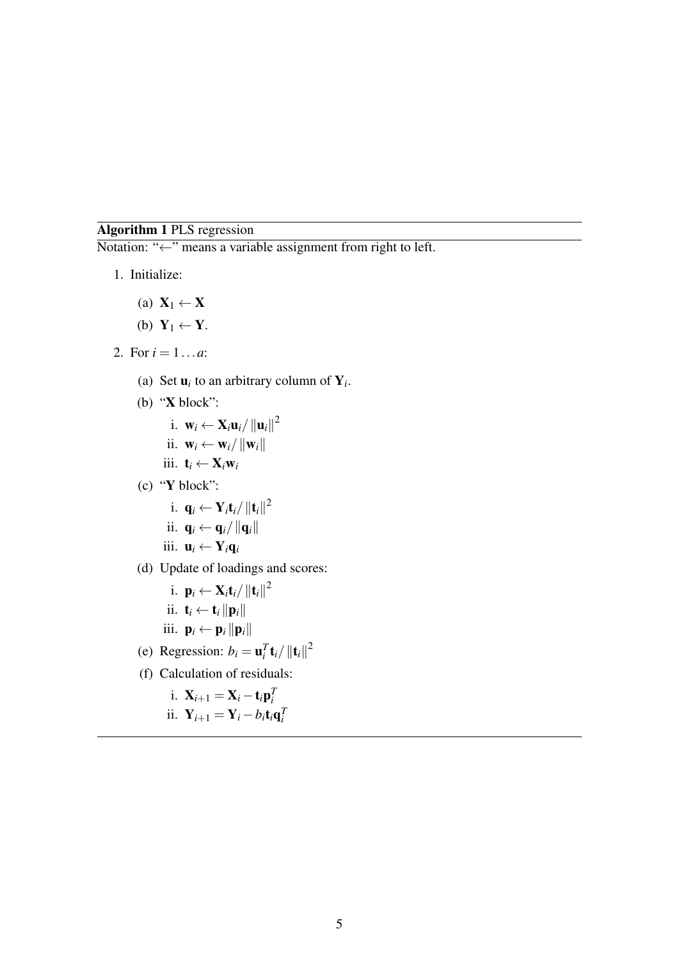# <span id="page-4-0"></span>Algorithm 1 PLS regression

Notation: "←" means a variable assignment from right to left.

- 1. Initialize:
	- (a)  $X_1 \leftarrow X$
	- (b)  $Y_1 \leftarrow Y$ .
- 2. For  $i = 1...a$ :
	- (a) Set  $\mathbf{u}_i$  to an arbitrary column of  $\mathbf{Y}_i$ .
	- (b) "X block":
		- i.  $\mathbf{w}_i \leftarrow \mathbf{X}_i \mathbf{u}_i / ||\mathbf{u}_i||^2$
		- ii.  $\mathbf{w}_i \leftarrow \mathbf{w}_i / ||\mathbf{w}_i||$
		- iii.  $\mathbf{t}_i \leftarrow \mathbf{X}_i \mathbf{w}_i$
	- (c) "Y block":
		- i.  $\mathbf{q}_i \leftarrow \mathbf{Y}_i \mathbf{t}_i / \|\mathbf{t}_i\|^2$
		- ii.  $\mathbf{q}_i \leftarrow \mathbf{q}_i / ||\mathbf{q}_i||$
		- iii.  $\mathbf{u}_i \leftarrow \mathbf{Y}_i \mathbf{q}_i$
	- (d) Update of loadings and scores:
		- i.  $\mathbf{p}_i \leftarrow \mathbf{X}_i \mathbf{t}_i / \|\mathbf{t}_i\|^2$
		- ii.  $\mathbf{t}_i \leftarrow \mathbf{t}_i ||\mathbf{p}_i||$
		- iii.  $\mathbf{p}_i \leftarrow \mathbf{p}_i ||\mathbf{p}_i||$
	- (e) Regression:  $b_i = \mathbf{u}_i^T \mathbf{t}_i / ||\mathbf{t}_i||^2$
	- (f) Calculation of residuals:
		- i.  $X_{i+1} = X_i t_i p_i^T$
		- ii.  $\mathbf{Y}_{i+1} = \mathbf{Y}_i b_i \mathbf{t}_i \mathbf{q}_i^T$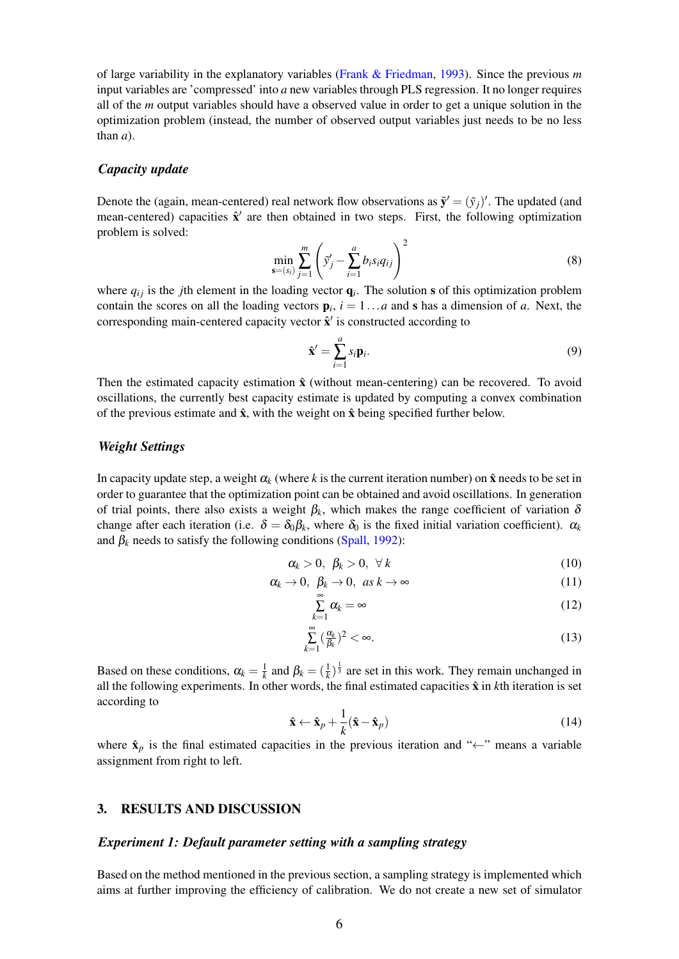of large variability in the explanatory variables [\(Frank & Friedman,](#page-10-2) [1993\)](#page-10-2). Since the previous *m* input variables are 'compressed' into *a* new variables through PLS regression. It no longer requires all of the *m* output variables should have a observed value in order to get a unique solution in the optimization problem (instead, the number of observed output variables just needs to be no less than *a*).

#### *Capacity update*

Denote the (again, mean-centered) real network flow observations as  $\tilde{\mathbf{y}}' = (\tilde{y}_j)'$ . The updated (and mean-centered) capacities  $\hat{\mathbf{x}}'$  are then obtained in two steps. First, the following optimization problem is solved:

$$
\min_{\mathbf{s}=(s_i)} \sum_{j=1}^m \left( \tilde{y}'_j - \sum_{i=1}^a b_i s_i q_{ij} \right)^2 \tag{8}
$$

where  $q_{ij}$  is the *j*th element in the loading vector  $q_i$ . The solution s of this optimization problem contain the scores on all the loading vectors  $\mathbf{p}_i$ ,  $i = 1...a$  and **s** has a dimension of *a*. Next, the corresponding main-centered capacity vector  $\hat{\mathbf{x}}'$  is constructed according to

$$
\hat{\mathbf{x}}' = \sum_{i=1}^{a} s_i \mathbf{p}_i.
$$
\n(9)

Then the estimated capacity estimation  $\hat{x}$  (without mean-centering) can be recovered. To avoid oscillations, the currently best capacity estimate is updated by computing a convex combination of the previous estimate and  $\hat{x}$ , with the weight on  $\hat{x}$  being specified further below.

#### *Weight Settings*

In capacity update step, a weight  $\alpha_k$  (where k is the current iteration number) on  $\hat{x}$  needs to be set in order to guarantee that the optimization point can be obtained and avoid oscillations. In generation of trial points, there also exists a weight  $\beta_k$ , which makes the range coefficient of variation  $\delta$ change after each iteration (i.e.  $\delta = \delta_0 \beta_k$ , where  $\delta_0$  is the fixed initial variation coefficient).  $\alpha_k$ and  $\beta_k$  needs to satisfy the following conditions [\(Spall,](#page-11-0) [1992\)](#page-11-0):

$$
\alpha_k > 0, \ \beta_k > 0, \ \forall \ k \tag{10}
$$

$$
\alpha_k \to 0, \ \beta_k \to 0, \ \text{as } k \to \infty \tag{11}
$$

$$
\sum_{k=1}^{\infty} \alpha_k = \infty \tag{12}
$$

$$
\sum_{k=1}^{\infty} \left(\frac{\alpha_k}{\beta_k}\right)^2 < \infty. \tag{13}
$$

Based on these conditions,  $\alpha_k = \frac{1}{k}$  and  $\beta_k = (\frac{1}{k})^{\frac{1}{3}}$  are set in this work. They remain unchanged in all the following experiments. In other words, the final estimated capacities  $\hat{x}$  in *k*th iteration is set according to

$$
\hat{\mathbf{x}} \leftarrow \hat{\mathbf{x}}_p + \frac{1}{k} (\hat{\mathbf{x}} - \hat{\mathbf{x}}_p)
$$
 (14)

where  $\hat{\mathbf{x}}_p$  is the final estimated capacities in the previous iteration and " $\leftarrow$ " means a variable assignment from right to left.

### 3. RESULTS AND DISCUSSION

#### *Experiment 1: Default parameter setting with a sampling strategy*

Based on the method mentioned in the previous section, a sampling strategy is implemented which aims at further improving the efficiency of calibration. We do not create a new set of simulator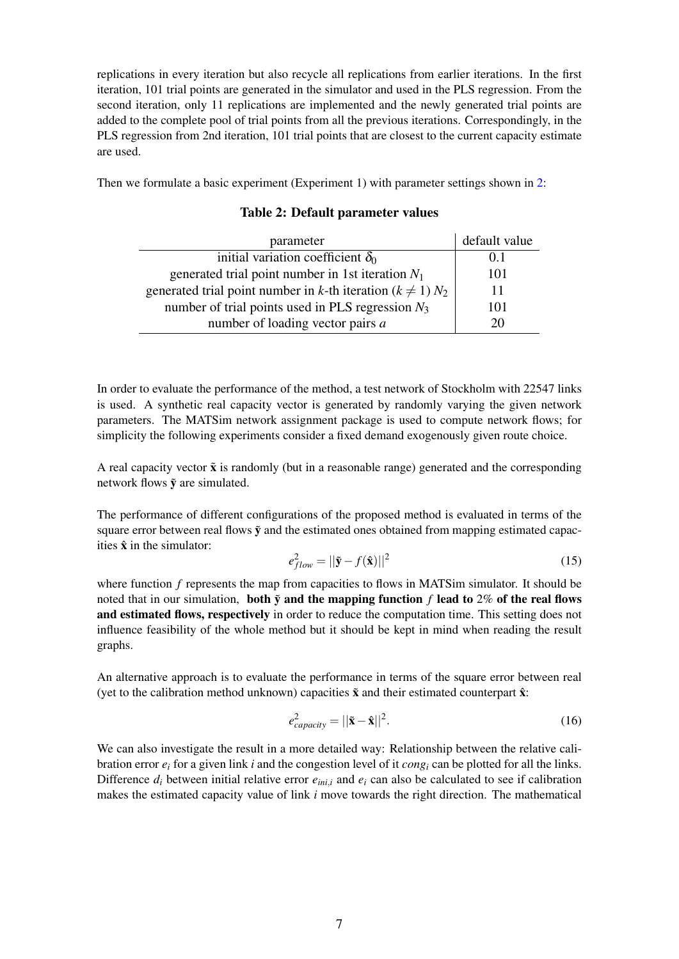replications in every iteration but also recycle all replications from earlier iterations. In the first iteration, 101 trial points are generated in the simulator and used in the PLS regression. From the second iteration, only 11 replications are implemented and the newly generated trial points are added to the complete pool of trial points from all the previous iterations. Correspondingly, in the PLS regression from 2nd iteration, 101 trial points that are closest to the current capacity estimate are used.

<span id="page-6-0"></span>Then we formulate a basic experiment (Experiment 1) with parameter settings shown in [2:](#page-6-0)

| parameter                                                           | default value |
|---------------------------------------------------------------------|---------------|
| initial variation coefficient $\delta_0$                            | 0.1           |
| generated trial point number in 1st iteration $N_1$                 | 101           |
| generated trial point number in k-th iteration ( $k \neq 1$ ) $N_2$ | 11            |
| number of trial points used in PLS regression $N_3$                 | 101           |
| number of loading vector pairs a                                    | 20            |

### Table 2: Default parameter values

In order to evaluate the performance of the method, a test network of Stockholm with 22547 links is used. A synthetic real capacity vector is generated by randomly varying the given network parameters. The MATSim network assignment package is used to compute network flows; for simplicity the following experiments consider a fixed demand exogenously given route choice.

A real capacity vector  $\tilde{x}$  is randomly (but in a reasonable range) generated and the corresponding network flows  $\tilde{y}$  are simulated.

The performance of different configurations of the proposed method is evaluated in terms of the square error between real flows  $\tilde{y}$  and the estimated ones obtained from mapping estimated capacities  $\hat{\mathbf{x}}$  in the simulator:

$$
e_{flow}^2 = ||\mathbf{\tilde{y}} - f(\mathbf{\hat{x}})||^2 \tag{15}
$$

where function *f* represents the map from capacities to flows in MATSim simulator. It should be noted that in our simulation, both  $\tilde{y}$  and the mapping function f lead to 2% of the real flows and estimated flows, respectively in order to reduce the computation time. This setting does not influence feasibility of the whole method but it should be kept in mind when reading the result graphs.

An alternative approach is to evaluate the performance in terms of the square error between real (yet to the calibration method unknown) capacities  $\tilde{x}$  and their estimated counterpart  $\hat{x}$ :

$$
e_{capacity}^2 = ||\tilde{\mathbf{x}} - \hat{\mathbf{x}}||^2.
$$
 (16)

We can also investigate the result in a more detailed way: Relationship between the relative calibration error  $e_i$  for a given link *i* and the congestion level of it  $cong$  can be plotted for all the links. Difference  $d_i$  between initial relative error  $e_{ini,i}$  and  $e_i$  can also be calculated to see if calibration makes the estimated capacity value of link *i* move towards the right direction. The mathematical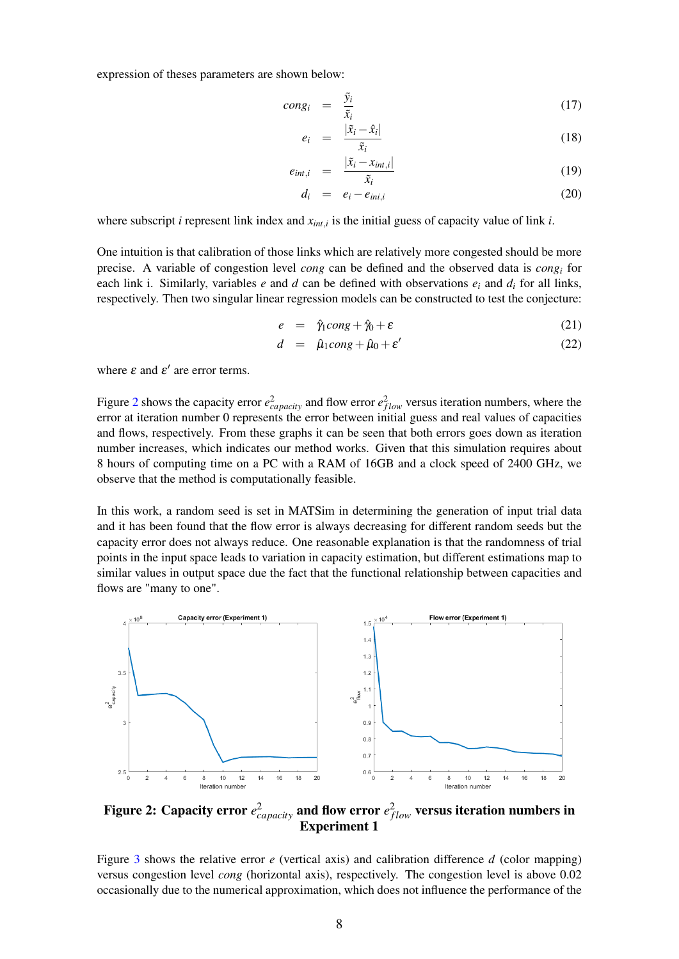expression of theses parameters are shown below:

$$
cong_i \quad = \quad \frac{\tilde{y}_i}{\tilde{x}_i} \tag{17}
$$

$$
e_i = \frac{|\tilde{x}_i - \hat{x}_i|}{\tilde{x}_i} \tag{18}
$$

$$
e_{int,i} = \frac{|\tilde{x}_i - x_{int,i}|}{\tilde{x}_i} \tag{19}
$$

$$
d_i = e_i - e_{ini,i} \tag{20}
$$

where subscript *i* represent link index and *xint*,*<sup>i</sup>* is the initial guess of capacity value of link *i*.

One intuition is that calibration of those links which are relatively more congested should be more precise. A variable of congestion level *cong* can be defined and the observed data is *cong<sup>i</sup>* for each link i. Similarly, variables *e* and *d* can be defined with observations  $e_i$  and  $d_i$  for all links, respectively. Then two singular linear regression models can be constructed to test the conjecture:

$$
e = \hat{\gamma}_1 \text{cong} + \hat{\gamma}_0 + \varepsilon \tag{21}
$$

$$
d = \hat{\mu}_1 \text{cong} + \hat{\mu}_0 + \varepsilon' \tag{22}
$$

where  $\varepsilon$  and  $\varepsilon'$  are error terms.

Figure [2](#page-7-0) shows the capacity error  $e_{capacity}^2$  and flow error  $e_{flow}^2$  versus iteration numbers, where the error at iteration number 0 represents the error between initial guess and real values of capacities and flows, respectively. From these graphs it can be seen that both errors goes down as iteration number increases, which indicates our method works. Given that this simulation requires about 8 hours of computing time on a PC with a RAM of 16GB and a clock speed of 2400 GHz, we observe that the method is computationally feasible.

In this work, a random seed is set in MATSim in determining the generation of input trial data and it has been found that the flow error is always decreasing for different random seeds but the capacity error does not always reduce. One reasonable explanation is that the randomness of trial points in the input space leads to variation in capacity estimation, but different estimations map to similar values in output space due the fact that the functional relationship between capacities and flows are "many to one".

<span id="page-7-0"></span>

Figure 2: Capacity error  $e_{capacity}^2$  and flow error  $e_{flow}^2$  versus iteration numbers in Experiment 1

Figure [3](#page-8-0) shows the relative error *e* (vertical axis) and calibration difference *d* (color mapping) versus congestion level *cong* (horizontal axis), respectively. The congestion level is above 0.02 occasionally due to the numerical approximation, which does not influence the performance of the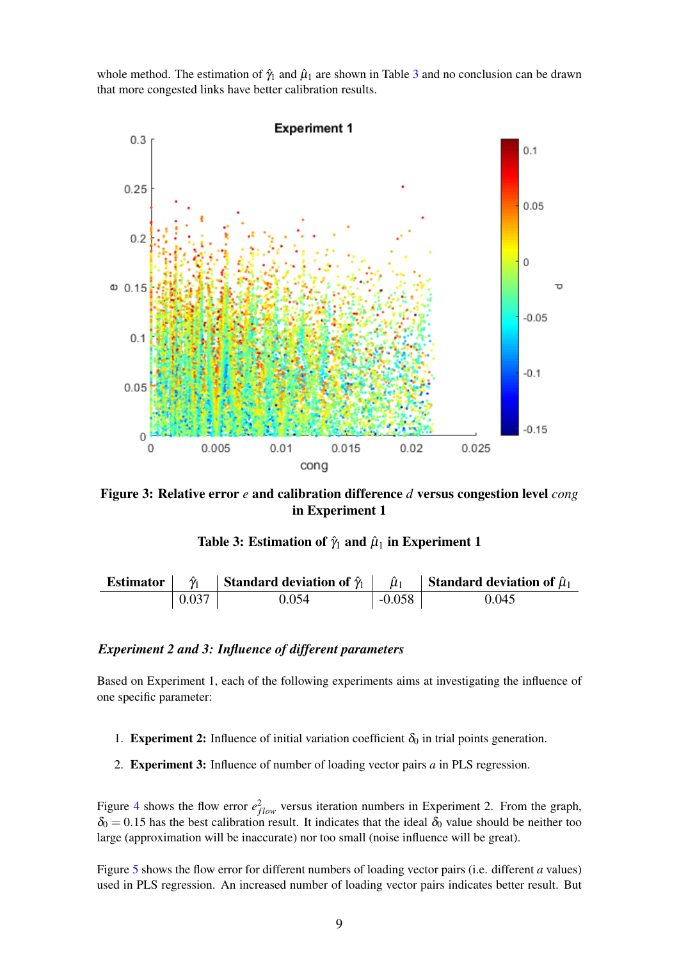whole method. The estimation of  $\hat{\gamma}_1$  and  $\hat{\mu}_1$  are shown in Table [3](#page-8-1) and no conclusion can be drawn that more congested links have better calibration results.

<span id="page-8-0"></span>

<span id="page-8-1"></span>Figure 3: Relative error *e* and calibration difference *d* versus congestion level *cong* in Experiment 1

| Table 3: Estimation of $\hat{\gamma}_1$ and $\hat{\mu}_1$ in Experiment 1 |  |  |
|---------------------------------------------------------------------------|--|--|
|---------------------------------------------------------------------------|--|--|

| <b>Estimator</b> | $\gamma_1$ | Standard deviation of $\hat{\gamma}_1$ |          | Standard deviation of $\hat{\mu}_1$ |
|------------------|------------|----------------------------------------|----------|-------------------------------------|
|                  | 0.037      | 0.054                                  | $-0.058$ | 0.045                               |

### *Experiment 2 and 3: Influence of different parameters*

Based on Experiment 1, each of the following experiments aims at investigating the influence of one specific parameter:

- 1. Experiment 2: Influence of initial variation coefficient  $\delta_0$  in trial points generation.
- 2. Experiment 3: Influence of number of loading vector pairs *a* in PLS regression.

Figure [4](#page-9-0) shows the flow error  $e_{flow}^2$  versus iteration numbers in Experiment 2. From the graph,  $\delta_0 = 0.15$  has the best calibration result. It indicates that the ideal  $\delta_0$  value should be neither too large (approximation will be inaccurate) nor too small (noise influence will be great).

Figure [5](#page-9-1) shows the flow error for different numbers of loading vector pairs (i.e. different *a* values) used in PLS regression. An increased number of loading vector pairs indicates better result. But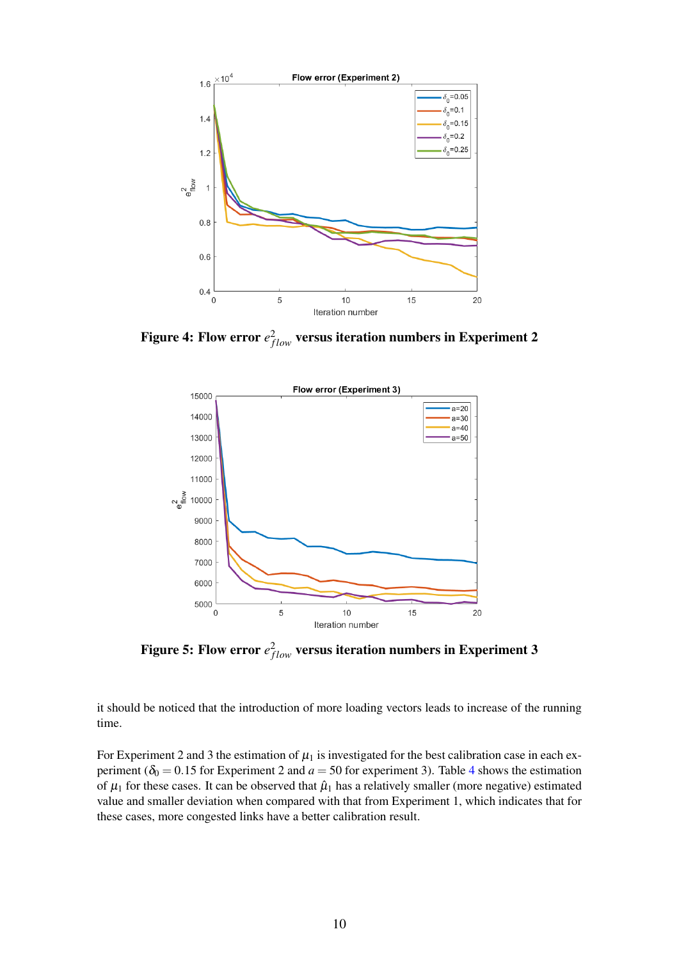<span id="page-9-0"></span>

<span id="page-9-1"></span>Figure 4: Flow error  $e^2_{flow}$  versus iteration numbers in Experiment 2



Figure 5: Flow error  $e^2_{flow}$  versus iteration numbers in Experiment 3

it should be noticed that the introduction of more loading vectors leads to increase of the running time.

For Experiment 2 and 3 the estimation of  $\mu_1$  is investigated for the best calibration case in each experiment ( $\delta_0 = 0.15$  for Experiment 2 and  $a = 50$  for experiment 3). Table [4](#page-10-3) shows the estimation of  $\mu_1$  for these cases. It can be observed that  $\hat{\mu}_1$  has a relatively smaller (more negative) estimated value and smaller deviation when compared with that from Experiment 1, which indicates that for these cases, more congested links have a better calibration result.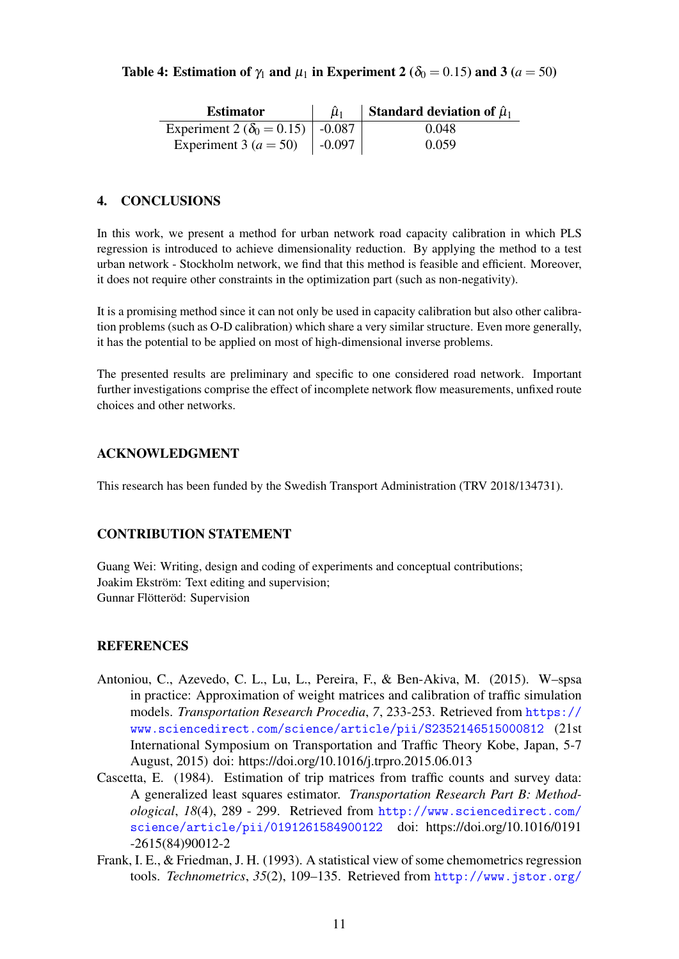## <span id="page-10-3"></span>Table 4: Estimation of  $\gamma_1$  and  $\mu_1$  in Experiment 2 ( $\delta_0 = 0.15$ ) and 3 ( $a = 50$ )

| <b>Estimator</b>                            | $\hat{\mu}_1$ | Standard deviation of $\hat{\mu}_1$ |
|---------------------------------------------|---------------|-------------------------------------|
| Experiment 2 ( $\delta_0 = 0.15$ )   -0.087 |               | 0.048                               |
| Experiment 3 ( $a = 50$ )   -0.097          |               | 0.059                               |

# 4. CONCLUSIONS

In this work, we present a method for urban network road capacity calibration in which PLS regression is introduced to achieve dimensionality reduction. By applying the method to a test urban network - Stockholm network, we find that this method is feasible and efficient. Moreover, it does not require other constraints in the optimization part (such as non-negativity).

It is a promising method since it can not only be used in capacity calibration but also other calibration problems (such as O-D calibration) which share a very similar structure. Even more generally, it has the potential to be applied on most of high-dimensional inverse problems.

The presented results are preliminary and specific to one considered road network. Important further investigations comprise the effect of incomplete network flow measurements, unfixed route choices and other networks.

## ACKNOWLEDGMENT

This research has been funded by the Swedish Transport Administration (TRV 2018/134731).

## CONTRIBUTION STATEMENT

Guang Wei: Writing, design and coding of experiments and conceptual contributions; Joakim Ekström: Text editing and supervision; Gunnar Flötteröd: Supervision

## **REFERENCES**

- <span id="page-10-1"></span>Antoniou, C., Azevedo, C. L., Lu, L., Pereira, F., & Ben-Akiva, M. (2015). W–spsa in practice: Approximation of weight matrices and calibration of traffic simulation models. *Transportation Research Procedia*, *7*, 233-253. Retrieved from [https://](https://www.sciencedirect.com/science/article/pii/S2352146515000812) [www.sciencedirect.com/science/article/pii/S2352146515000812](https://www.sciencedirect.com/science/article/pii/S2352146515000812) (21st International Symposium on Transportation and Traffic Theory Kobe, Japan, 5-7 August, 2015) doi: https://doi.org/10.1016/j.trpro.2015.06.013
- <span id="page-10-0"></span>Cascetta, E. (1984). Estimation of trip matrices from traffic counts and survey data: A generalized least squares estimator. *Transportation Research Part B: Methodological*, *18*(4), 289 - 299. Retrieved from [http://www.sciencedirect.com/](http://www.sciencedirect.com/science/article/pii/0191261584900122) [science/article/pii/0191261584900122](http://www.sciencedirect.com/science/article/pii/0191261584900122) doi: https://doi.org/10.1016/0191 -2615(84)90012-2
- <span id="page-10-2"></span>Frank, I. E., & Friedman, J. H. (1993). A statistical view of some chemometrics regression tools. *Technometrics*, *35*(2), 109–135. Retrieved from [http://www.jstor.org/](http://www.jstor.org/stable/1269656)